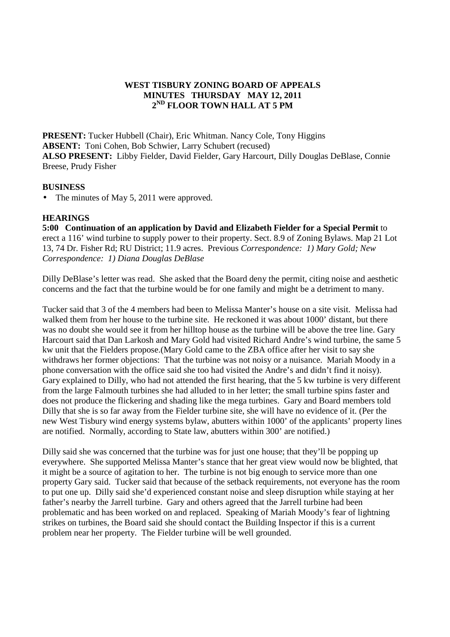## **WEST TISBURY ZONING BOARD OF APPEALS MINUTES THURSDAY MAY 12, 2011 2 ND FLOOR TOWN HALL AT 5 PM**

**PRESENT:** Tucker Hubbell (Chair), Eric Whitman. Nancy Cole, Tony Higgins **ABSENT:** Toni Cohen, Bob Schwier, Larry Schubert (recused) **ALSO PRESENT:** Libby Fielder, David Fielder, Gary Harcourt, Dilly Douglas DeBlase, Connie Breese, Prudy Fisher

## **BUSINESS**

• The minutes of May 5, 2011 were approved.

## **HEARINGS**

**5:00 Continuation of an application by David and Elizabeth Fielder for a Special Permit** to erect a 116' wind turbine to supply power to their property. Sect. 8.9 of Zoning Bylaws. Map 21 Lot 13, 74 Dr. Fisher Rd; RU District; 11.9 acres. Previous *Correspondence: 1) Mary Gold; New Correspondence: 1) Diana Douglas DeBlase* 

Dilly DeBlase's letter was read. She asked that the Board deny the permit, citing noise and aesthetic concerns and the fact that the turbine would be for one family and might be a detriment to many.

Tucker said that 3 of the 4 members had been to Melissa Manter's house on a site visit. Melissa had walked them from her house to the turbine site. He reckoned it was about 1000' distant, but there was no doubt she would see it from her hilltop house as the turbine will be above the tree line. Gary Harcourt said that Dan Larkosh and Mary Gold had visited Richard Andre's wind turbine, the same 5 kw unit that the Fielders propose.(Mary Gold came to the ZBA office after her visit to say she withdraws her former objections: That the turbine was not noisy or a nuisance. Mariah Moody in a phone conversation with the office said she too had visited the Andre's and didn't find it noisy). Gary explained to Dilly, who had not attended the first hearing, that the 5 kw turbine is very different from the large Falmouth turbines she had alluded to in her letter; the small turbine spins faster and does not produce the flickering and shading like the mega turbines. Gary and Board members told Dilly that she is so far away from the Fielder turbine site, she will have no evidence of it. (Per the new West Tisbury wind energy systems bylaw, abutters within 1000' of the applicants' property lines are notified. Normally, according to State law, abutters within 300' are notified.)

Dilly said she was concerned that the turbine was for just one house; that they'll be popping up everywhere. She supported Melissa Manter's stance that her great view would now be blighted, that it might be a source of agitation to her. The turbine is not big enough to service more than one property Gary said. Tucker said that because of the setback requirements, not everyone has the room to put one up. Dilly said she'd experienced constant noise and sleep disruption while staying at her father's nearby the Jarrell turbine. Gary and others agreed that the Jarrell turbine had been problematic and has been worked on and replaced. Speaking of Mariah Moody's fear of lightning strikes on turbines, the Board said she should contact the Building Inspector if this is a current problem near her property. The Fielder turbine will be well grounded.